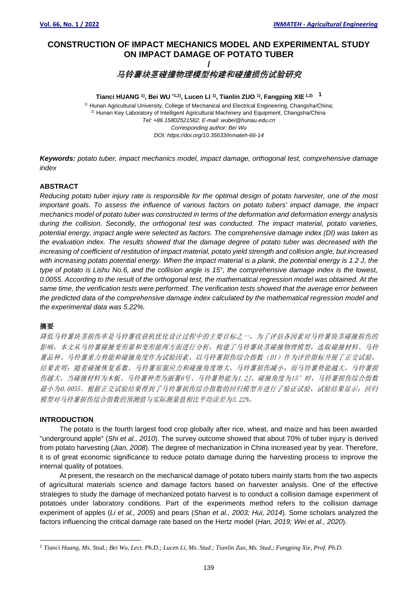## **CONSTRUCTION OF IMPACT MECHANICS MODEL AND EXPERIMENTAL STUDY ON IMPACT DAMAGE OF POTATO TUBER /**

**马铃薯块茎碰撞物理模型构建和碰撞损伤试验研究**

#### **Tianci HUANG 1) , Bei WU \*1,2) , Lucen LI 1) , Tianlin ZUO 1) , Fangping XIE 1,2) <sup>1</sup>**

<sup>1)</sup> Hunan Agricultural University, College of Mechanical and Electrical Engineering, Changsha/China; <sup>2)</sup> Hunan Key Laboratory of Intelligent Agricultural Machinery and Equipment, Changsha/China<sup>.</sup> *Tel: +86 15802521582; E-mail: wubei@hunau.edu.cn Corresponding author: Bei Wu DOI: https://doi.org/10.35633/inmateh-66-14*

*Keywords: potato tuber, impact mechanics model, impact damage, orthogonal test, comprehensive damage index*

#### **ABSTRACT**

*Reducing potato tuber injury rate is responsible for the optimal design of potato harvester, one of the most important goals. To assess the influence of various factors on potato tubers' impact damage, the impact mechanics model of potato tuber was constructed in terms of the deformation and deformation energy analysis during the collision. Secondly, the orthogonal test was conducted. The impact material, potato varieties, potential energy, impact angle were selected as factors. The comprehensive damage index (DI) was taken as the evaluation index. The results showed that the damage degree of potato tuber was decreased with the increasing of coefficient of restitution of impact material, potato yield strength and collision angle, but increased with increasing potato potential energy. When the impact material is a plank, the potential energy is 1.2 J, the type of potato is Lishu No.6, and the collision angle is 15°, the comprehensive damage index is the lowest, 0.0055. According to the result of the orthogonal test, the mathematical regression model was obtained. At the same time, the verification tests were performed. The verification tests showed that the average error between the predicted data of the comprehensive damage index calculated by the mathematical regression model and the experimental data was 5.22%.*

### 摘要

降低马铃薯块茎损伤率是马铃薯收获机优化设计过程中的主要目标之一,为了评估各因素对马铃薯块茎碰撞损伤的 影响,本文从马铃薯碰撞变形量和变形能两方面进行分析,构建了马铃薯块茎碰撞物理模型,选取碰撞材料、马铃 薯品种、马铃薯重力势能和碰撞角度作为试验因素,以马铃薯损伤综合指数(DI)作为评价指标开展了正交试验, 结果表明:随着碰撞恢复系数、马铃薯屈服应力和碰撞角度增大,马铃薯损伤减小,而马铃薯势能越大,马铃薯损 伤越大。当碰撞材料为木板、马铃薯种类为丽薯6号、马铃薯势能为1.2J、碰撞角度为15°时,马铃薯损伤综合指数 最小为0.0055。根据正交试验结果得到了马铃薯损伤综合指数的回归模型并进行了验证试验,试验结果显示:回归 模型对马铃薯损伤综合指数的预测值与实际测量值相比平均误差为5.22%。

#### **INTRODUCTION**

The potato is the fourth largest food crop globally after rice, wheat, and maize and has been awarded "underground apple" (*Shi et al., 2010*). The survey outcome showed that about 70% of tuber injury is derived from potato harvesting (*Jian, 2008*). The degree of mechanization in China increased year by year. Therefore, it is of great economic significance to reduce potato damage during the harvesting process to improve the internal quality of potatoes.

At present, the research on the mechanical damage of potato tubers mainly starts from the two aspects of agricultural materials science and damage factors based on harvester analysis. One of the effective strategies to study the damage of mechanized potato harvest is to conduct a collision damage experiment of potatoes under laboratory conditions. Part of the experiments method refers to the collision damage experiment of apples (*Li et al., 2005*) and pears (*Shan et al., 2003; Hui, 2014*). Some scholars analyzed the factors influencing the critical damage rate based on the Hertz model (*Han, 2019; Wei et al., 2020*).

*<sup>1</sup> Tianci Huang, Ms. Stud.; Bei Wu, Lect. Ph.D.; Lucen Li, Ms. Stud.; Tianlin Zuo, Ms. Stud.; Fangping Xie, Prof. Ph.D.*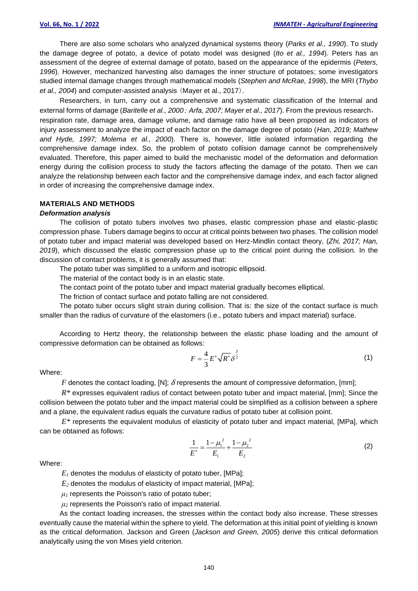There are also some scholars who analyzed dynamical systems theory (*Parks et al., 1990*). To study the damage degree of potato, a device of potato model was designed (*Ito et al., 1994*). Peters has an assessment of the degree of external damage of potato, based on the appearance of the epidermis (*Peters, 1996*). However, mechanized harvesting also damages the inner structure of potatoes; some investigators studied internal damage changes through mathematical models (*Stephen and McRae, 1998*), the MRI (*Thybo et al., 2004*) and computer-assisted analysis (Mayer et al., 2017).

Researchers, in turn, carry out a comprehensive and systematic classification of the Internal and external forms of damage (*Baritelle et al., 2000*; *Arfa, 2007; Mayer et al., 2017*). From the previous research, respiration rate, damage area, damage volume, and damage ratio have all been proposed as indicators of injury assessment to analyze the impact of each factor on the damage degree of potato (*Han, 2019; Mathew and Hyde, 1997; Molema et al., 2000*). There is, however, little isolated information regarding the comprehensive damage index. So, the problem of potato collision damage cannot be comprehensively evaluated. Therefore, this paper aimed to build the mechanistic model of the deformation and deformation energy during the collision process to study the factors affecting the damage of the potato. Then we can analyze the relationship between each factor and the comprehensive damage index, and each factor aligned in order of increasing the comprehensive damage index.

#### **MATERIALS AND METHODS**

#### *Deformation analysis*

The collision of potato tubers involves two phases, elastic compression phase and elastic-plastic compression phase. Tubers damage begins to occur at critical points between two phases. The collision model of potato tuber and impact material was developed based on Herz-Mindlin contact theory, (*Zhi, 2017; Han, 2019*), which discussed the elastic compression phase up to the critical point during the collision. In the discussion of contact problems, it is generally assumed that:

The potato tuber was simplified to a uniform and isotropic ellipsoid.

The material of the contact body is in an elastic state.

The contact point of the potato tuber and impact material gradually becomes elliptical.

The friction of contact surface and potato falling are not considered.

The potato tuber occurs slight strain during collision. That is: the size of the contact surface is much smaller than the radius of curvature of the elastomers (i.e., potato tubers and impact material) surface.

According to Hertz theory, the relationship between the elastic phase loading and the amount of compressive deformation can be obtained as follows:

$$
F = \frac{4}{3} E^* \sqrt{R^*} \delta^{\frac{3}{2}}
$$
 (1)

Where:

*F* denotes the contact loading, [N];  $\delta$  represents the amount of compressive deformation, [mm];

*R\** expresses equivalent radius of contact between potato tuber and impact material, [mm]; Since the collision between the potato tuber and the impact material could be simplified as a collision between a sphere and a plane, the equivalent radius equals the curvature radius of potato tuber at collision point.

*E\** represents the equivalent modulus of elasticity of potato tuber and impact material, [MPa], which can be obtained as follows:

$$
\frac{1}{E^*} = \frac{1 - \mu_1^2}{E_1} + \frac{1 - \mu_2^2}{E_2}
$$
 (2)

Where:

 $E_I$  denotes the modulus of elasticity of potato tuber, [MPa];

*E<sup>2</sup>* denotes the modulus of elasticity of impact material, [MPa];

*μ<sup>1</sup>* represents the Poisson's ratio of potato tuber;

*μ<sup>2</sup>* represents the Poisson's ratio of impact material.

As the contact loading increases, the stresses within the contact body also increase. These stresses eventually cause the material within the sphere to yield. The deformation at this initial point of yielding is known as the critical deformation. Jackson and Green (*Jackson and Green, 2005*) derive this critical deformation analytically using the von Mises yield criterion.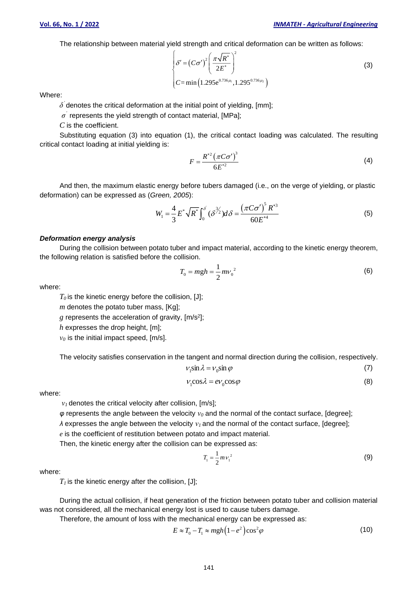The relationship between material yield strength and critical deformation can be written as follows:

$$
\begin{cases}\n\delta' = (C\sigma')^2 \left(\frac{\pi\sqrt{R^*}}{2E^*}\right)^2 \\
C = \min\left(1.295e^{0.736\mu_1}, 1.295^{0.736\mu_2}\right)\n\end{cases}
$$
\n(3)

Where:

 $\delta^{'}$ denotes the critical deformation at the initial point of yielding, [mm];

 $\sigma^{'}$  represents the yield strength of contact material, [MPa];

*C* is the coefficient.

Substituting equation (3) into equation (1), the critical contact loading was calculated. The resulting critical contact loading at initial yielding is:

$$
F = \frac{R^{*2} \left(\pi C \sigma'\right)^3}{6E^{*2}}
$$
\n
$$
\tag{4}
$$

And then, the maximum elastic energy before tubers damaged (i.e., on the verge of yielding, or plastic deformation) can be expressed as (*Green, 2005*):

$$
W_1 = \frac{4}{3} E^* \sqrt{R^*} \int_0^{\delta} (\delta^{3/2}) d\delta = \frac{(\pi C \sigma')^5 R^{*3}}{60 E^{*4}}
$$
 (5)

#### *Deformation energy analysis*

During the collision between potato tuber and impact material, according to the kinetic energy theorem, the following relation is satisfied before the collision.

$$
T_0 = mgh = \frac{1}{2}mv_0^2\tag{6}
$$

where:

 $T<sub>0</sub>$  is the kinetic energy before the collision, [J];

*m* denotes the potato tuber mass, [Kg];

*g* represents the acceleration of gravity, [m/s<sup>2</sup> ];

*h* expresses the drop height, [m];

*ν<sup>0</sup>* is the initial impact speed, [m/s].

The velocity satisfies conservation in the tangent and normal direction during the collision, respectively.

$$
V_1 \sin \lambda = V_0 \sin \varphi \tag{7}
$$

$$
V_1 \cos \lambda = eV_0 \cos \varphi \tag{8}
$$

where:

*ν<sup>1</sup>* denotes the critical velocity after collision, [m/s];

*φ* represents the angle between the velocity *ν<sup>0</sup>* and the normal of the contact surface, [degree];

*λ* expresses the angle between the velocity *ν<sup>1</sup>* and the normal of the contact surface, [degree];

*e* is the coefficient of restitution between potato and impact material.

Then, the kinetic energy after the collision can be expressed as:

$$
T_1 = \frac{1}{2} m v_1^2 \tag{9}
$$

where:

 $T_I$  is the kinetic energy after the collision, [J];

During the actual collision, if heat generation of the friction between potato tuber and collision material was not considered, all the mechanical energy lost is used to cause tubers damage.

Therefore, the amount of loss with the mechanical energy can be expressed as:

$$
E \approx T_0 - T_1 \approx mgh \left( 1 - e^2 \right) \cos^2 \varphi \tag{10}
$$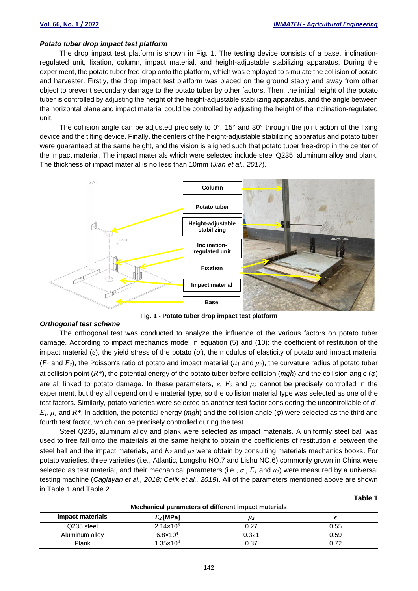**Table 1**

#### *Potato tuber drop impact test platform*

The drop impact test platform is shown in Fig. 1. The testing device consists of a base, inclinationregulated unit, fixation, column, impact material, and height-adjustable stabilizing apparatus. During the experiment, the potato tuber free-drop onto the platform, which was employed to simulate the collision of potato and harvester. Firstly, the drop impact test platform was placed on the ground stably and away from other object to prevent secondary damage to the potato tuber by other factors. Then, the initial height of the potato tuber is controlled by adjusting the height of the height-adjustable stabilizing apparatus, and the angle between the horizontal plane and impact material could be controlled by adjusting the height of the inclination-regulated unit.

The collision angle can be adjusted precisely to  $0^\circ$ , 15° and 30° through the joint action of the fixing device and the tilting device. Finally, the centers of the height-adjustable stabilizing apparatus and potato tuber were guaranteed at the same height, and the vision is aligned such that potato tuber free-drop in the center of the impact material. The impact materials which were selected include steel Q235, aluminum alloy and plank. The thickness of impact material is no less than 10mm (*Jian et al., 2017*).



**Fig. 1 - Potato tuber drop impact test platform**

#### *Orthogonal test scheme*

The orthogonal test was conducted to analyze the influence of the various factors on potato tuber damage. According to impact mechanics model in equation (5) and (10): the coefficient of restitution of the impact material (*e*), the yield stress of the potato (*σ'* ), the modulus of elasticity of potato and impact material (*E<sup>1</sup>* and *E2*), the Poisson's ratio of potato and impact material (*μ<sup>1</sup>* and *μ2*), the curvature radius of potato tuber at collision point (*R\**), the potential energy of the potato tuber before collision (*mgh*) and the collision angle (*φ*) are all linked to potato damage. In these parameters,  $e$ ,  $E_2$  and  $\mu_2$  cannot be precisely controlled in the experiment, but they all depend on the material type, so the collision material type was selected as one of the test factors. Similarly, potato varieties were selected as another test factor considering the uncontrollable of *σ'* , *E1*, *μ<sup>1</sup>* and *R\**. In addition, the potential energy (*mgh*) and the collision angle (*φ*) were selected as the third and fourth test factor, which can be precisely controlled during the test.

Steel Q235, aluminum alloy and plank were selected as impact materials. A uniformly steel ball was used to free fall onto the materials at the same height to obtain the coefficients of restitution *e* between the steel ball and the impact materials, and *E<sup>2</sup>* and *μ<sup>2</sup>* were obtain by consulting materials mechanics books. For potato varieties, three varieties (i.e., Atlantic, Longshu NO.7 and Lishu NO.6) commonly grown in China were selected as test material, and their mechanical parameters (i.e.,  $\sigma$ <sup>'</sup>,  $E_I$  and  $\mu_I$ ) were measured by a universal testing machine (*Caglayan et al., 2018; Celik et al., 2019*). All of the parameters mentioned above are shown in Table 1 and Table 2.

| Mechanical parameters of different impact materials |                      |         |      |  |  |
|-----------------------------------------------------|----------------------|---------|------|--|--|
| Impact materials                                    | $E_2$ [MPa]          | $\mu_2$ |      |  |  |
| Q235 steel                                          | $2.14 \times 10^5$   | 0.27    | 0.55 |  |  |
| Aluminum alloy                                      | $6.8 \times 10^{4}$  | 0.321   | 0.59 |  |  |
| Plank                                               | $1.35 \times 10^{4}$ | 0.37    | 0.72 |  |  |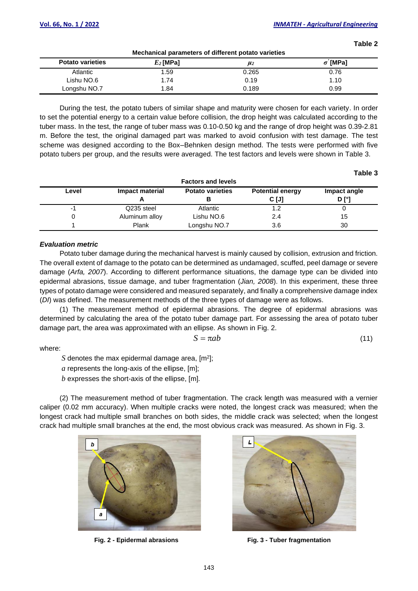**Table 2**

**Table 3**

| Mechanical parameters of different potato varieties<br><b>Potato varieties</b><br>$\sigma$ '[MPa]<br>$E_2$ [MPa]<br>$\mu_2$ |      |       |      |  |  |  |
|-----------------------------------------------------------------------------------------------------------------------------|------|-------|------|--|--|--|
| Atlantic                                                                                                                    | 1.59 | 0.265 | 0.76 |  |  |  |
| Lishu NO.6                                                                                                                  | 1.74 | 0.19  | 1.10 |  |  |  |
| Longshu NO.7                                                                                                                | 1.84 | 0.189 | 0.99 |  |  |  |

During the test, the potato tubers of similar shape and maturity were chosen for each variety. In order to set the potential energy to a certain value before collision, the drop height was calculated according to the tuber mass. In the test, the range of tuber mass was 0.10-0.50 kg and the range of drop height was 0.39-2.81 m. Before the test, the original damaged part was marked to avoid confusion with test damage. The test scheme was designed according to the Box–Behnken design method. The tests were performed with five potato tubers per group, and the results were averaged. The test factors and levels were shown in Table 3.

| <b>Factors and levels</b> |                 |                         |                         |              |  |
|---------------------------|-----------------|-------------------------|-------------------------|--------------|--|
| Level                     | Impact material | <b>Potato varieties</b> | <b>Potential energy</b> | Impact angle |  |
|                           |                 |                         | C [J]                   | D I°I        |  |
| -1                        | Q235 steel      | Atlantic                | 1.2                     |              |  |
|                           | Aluminum alloy  | Lishu NO.6              | 2.4                     | 15           |  |
|                           | Plank           | Longshu NO.7            | 3.6                     | 30           |  |

#### *Evaluation metric*

Potato tuber damage during the mechanical harvest is mainly caused by collision, extrusion and friction. The overall extent of damage to the potato can be determined as undamaged, scuffed, peel damage or severe damage (*Arfa, 2007*). According to different performance situations, the damage type can be divided into epidermal abrasions, tissue damage, and tuber fragmentation (*Jian, 2008*). In this experiment, these three types of potato damage were considered and measured separately, and finally a comprehensive damage index (*DI*) was defined. The measurement methods of the three types of damage were as follows.

(1) The measurement method of epidermal abrasions. The degree of epidermal abrasions was determined by calculating the area of the potato tuber damage part. For assessing the area of potato tuber damage part, the area was approximated with an ellipse. As shown in Fig. 2.

 $S = \pi ab$  (11)

where:

 $S$  denotes the max epidermal damage area,  $[m^2]$ ;

*a* represents the long-axis of the ellipse, [m];

*b* expresses the short-axis of the ellipse, [m].

(2) The measurement method of tuber fragmentation. The crack length was measured with a vernier caliper (0.02 mm accuracy). When multiple cracks were noted, the longest crack was measured; when the longest crack had multiple small branches on both sides, the middle crack was selected; when the longest crack had multiple small branches at the end, the most obvious crack was measured. As shown in Fig. 3.





**Fig. 2 - Epidermal abrasions Fig. 3 - Tuber fragmentation**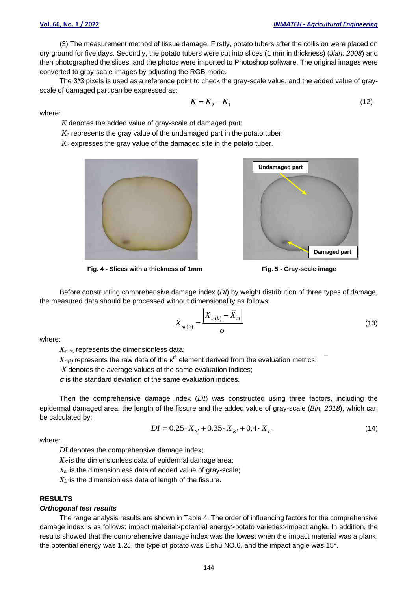(3) The measurement method of tissue damage. Firstly, potato tubers after the collision were placed on dry ground for five days. Secondly, the potato tubers were cut into slices (1 mm in thickness) (*Jian, 2008*) and then photographed the slices, and the photos were imported to Photoshop software. The original images were converted to gray-scale images by adjusting the RGB mode.

The 3\*3 pixels is used as a reference point to check the gray-scale value, and the added value of grayscale of damaged part can be expressed as:

 $K = K_2 - K_1$ 

where:

*K* denotes the added value of gray-scale of damaged part;

 $K_I$  represents the gray value of the undamaged part in the potato tuber;

*K<sup>2</sup>* expresses the gray value of the damaged site in the potato tuber.





(12)

**Fig. 4 - Slices with a thickness of 1mm Fig. 5 - Gray-scale image**

Before constructing comprehensive damage index (*DI*) by weight distribution of three types of damage, the measured data should be processed without dimensionality as follows:

$$
X_{m'(k)} = \frac{\left| X_{m(k)} - \overline{X}_m \right|}{\sigma} \tag{13}
$$

where:

 $X_{m'k}$  represents the dimensionless data;

 $X_{m(k)}$  represents the raw data of the  $k^{th}$  element derived from the evaluation metrics;  $\overline{\phantom{a}}$ 

*X* denotes the average values of the same evaluation indices;

*σ* is the standard deviation of the same evaluation indices.

Then the comprehensive damage index (*DI*) was constructed using three factors, including the epidermal damaged area, the length of the fissure and the added value of gray-scale (*Bin, 2018*), which can be calculated by:

$$
DI = 0.25 \cdot X_{S'} + 0.35 \cdot X_{K'} + 0.4 \cdot X_{L'}
$$
\n(14)

where:

*DI* denotes the comprehensive damage index;

*X<sup>S</sup>'* is the dimensionless data of epidermal damage area;

*XK'* is the dimensionless data of added value of gray-scale;

*X<sup>L</sup>'* is the dimensionless data of length of the fissure.

#### **RESULTS**

#### *Orthogonal test results*

The range analysis results are shown in Table 4. The order of influencing factors for the comprehensive damage index is as follows: impact material>potential energy>potato varieties>impact angle. In addition, the results showed that the comprehensive damage index was the lowest when the impact material was a plank, the potential energy was 1.2J, the type of potato was Lishu NO.6, and the impact angle was 15°.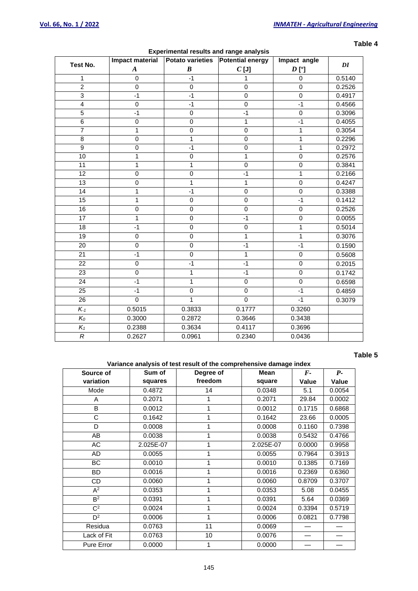| Test No.                | Impact material  | <b>Potato varieties</b> | <b>Potential energy</b> | Impact angle       |        |
|-------------------------|------------------|-------------------------|-------------------------|--------------------|--------|
|                         | $\boldsymbol{A}$ | $\boldsymbol{B}$        | $C$ [J]                 | $D$ [ $^{\circ}$ ] | DI     |
| $\mathbf{1}$            | $\pmb{0}$        | $-1$                    | 1                       | $\pmb{0}$          | 0.5140 |
| $\overline{2}$          | 0                | $\pmb{0}$               | 0                       | 0                  | 0.2526 |
| $\overline{3}$          | $-1$             | $-1$                    | $\overline{0}$          | $\overline{0}$     | 0.4917 |
| $\overline{\mathbf{4}}$ | $\pmb{0}$        | $-1$                    | $\mathbf 0$             | $-1$               | 0.4566 |
| $\overline{5}$          | $-1$             | $\pmb{0}$               | $-1$                    | $\mathbf 0$        | 0.3096 |
| 6                       | 0                | $\mathbf 0$             | $\mathbf{1}$            | $-1$               | 0.4055 |
| $\overline{7}$          | 1                | $\mathbf 0$             | 0                       | 1                  | 0.3054 |
| 8                       | $\overline{0}$   | $\overline{1}$          | $\overline{0}$          | $\overline{1}$     | 0.2296 |
| $\overline{9}$          | $\overline{0}$   | $-1$                    | $\overline{0}$          | $\overline{1}$     | 0.2972 |
| 10                      | 1                | $\overline{0}$          | $\overline{1}$          | $\mathbf 0$        | 0.2576 |
| $\overline{11}$         | 1                | 1                       | $\overline{0}$          | $\overline{0}$     | 0.3841 |
| 12                      | $\pmb{0}$        | $\overline{0}$          | $-1$                    | $\overline{1}$     | 0.2166 |
| $\overline{13}$         | $\pmb{0}$        | 1                       | $\overline{1}$          | $\overline{0}$     | 0.4247 |
| $\overline{14}$         | 1                | $-1$                    | $\mathbf 0$             | $\overline{0}$     | 0.3388 |
| 15                      | 1                | $\pmb{0}$               | $\pmb{0}$               | $-1$               | 0.1412 |
| 16                      | $\pmb{0}$        | $\pmb{0}$               | $\pmb{0}$               | $\,0\,$            | 0.2526 |
| 17                      | $\mathbf{1}$     | $\overline{0}$          | $-1$                    | $\overline{0}$     | 0.0055 |
| $\overline{18}$         | $-1$             | $\overline{0}$          | $\overline{0}$          | $\overline{1}$     | 0.5014 |
| 19                      | 0                | $\pmb{0}$               | $\overline{1}$          | $\overline{1}$     | 0.3076 |
| 20                      | $\mathbf 0$      | $\mathbf 0$             | $-1$                    | $-1$               | 0.1590 |
| $\overline{21}$         | $-1$             | $\overline{0}$          | $\overline{1}$          | $\overline{0}$     | 0.5608 |
| 22                      | 0                | $-1$                    | $-1$                    | $\,0\,$            | 0.2015 |
| $\overline{23}$         | $\mathbf 0$      | $\mathbf{1}$            | $-1$                    | $\overline{0}$     | 0.1742 |
| 24                      | $-1$             | 1                       | 0                       | $\mathbf 0$        | 0.6598 |
| $\overline{25}$         | $-1$             | $\overline{0}$          | $\mathbf 0$             | $-1$               | 0.4859 |
| 26                      | $\overline{0}$   | $\mathbf{1}$            | $\overline{0}$          | $-1$               | 0.3079 |
| $K_{-1}$                | 0.5015           | 0.3833                  | 0.1777                  | 0.3260             |        |
| $K_0$                   | 0.3000           | 0.2872                  | 0.3646                  | 0.3438             |        |
| $K_1$                   | 0.2388           | 0.3634                  | 0.4117                  | 0.3696             |        |
| $\boldsymbol{R}$        | 0.2627           | 0.0961                  | 0.2340                  | 0.0436             |        |

#### **Experimental results and range analysis**

#### **Table 4**

# **Table 5**

# **Variance analysis of test result of the comprehensive damage index**

| Source of      | Sum of    | <b>Mean</b><br>Degree of |           | $\bm{F}$ - | $P-$   |
|----------------|-----------|--------------------------|-----------|------------|--------|
| variation      | squares   | freedom                  | square    | Value      | Value  |
| Mode           | 0.4872    | 14                       | 0.0348    | 5.1        | 0.0054 |
| A              | 0.2071    | 1                        | 0.2071    | 29.84      | 0.0002 |
| B              | 0.0012    |                          | 0.0012    | 0.1715     | 0.6868 |
| C              | 0.1642    |                          | 0.1642    | 23.66      | 0.0005 |
| D              | 0.0008    |                          | 0.0008    | 0.1160     | 0.7398 |
| AB             | 0.0038    |                          | 0.0038    | 0.5432     | 0.4766 |
| AC             | 2.025E-07 |                          | 2.025E-07 | 0.0000     | 0.9958 |
| <b>AD</b>      | 0.0055    |                          | 0.0055    | 0.7964     | 0.3913 |
| <b>BC</b>      | 0.0010    |                          | 0.0010    | 0.1385     | 0.7169 |
| <b>BD</b>      | 0.0016    |                          | 0.0016    | 0.2369     | 0.6360 |
| CD             | 0.0060    |                          | 0.0060    | 0.8709     | 0.3707 |
| $A^2$          | 0.0353    | 1                        | 0.0353    | 5.08       | 0.0455 |
| B <sup>2</sup> | 0.0391    |                          | 0.0391    | 5.64       | 0.0369 |
| $C^2$          | 0.0024    | 1                        | 0.0024    | 0.3394     | 0.5719 |
| $D^2$          | 0.0006    |                          | 0.0006    | 0.0821     | 0.7798 |
| Residua        | 0.0763    | 11                       | 0.0069    |            |        |
| Lack of Fit    | 0.0763    | 10                       | 0.0076    |            |        |
| Pure Error     | 0.0000    |                          | 0.0000    |            |        |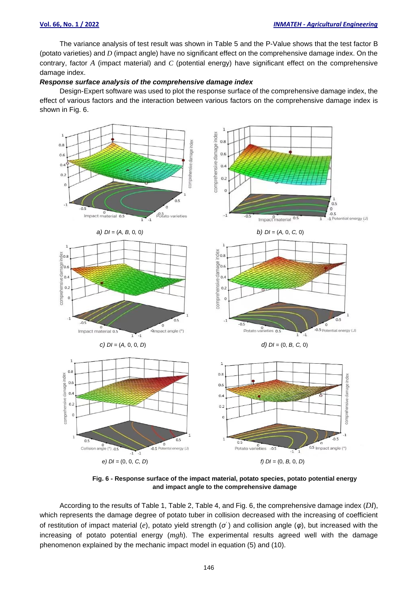The variance analysis of test result was shown in Table 5 and the P-Value shows that the test factor B (potato varieties) and *D* (impact angle) have no significant effect on the comprehensive damage index. On the contrary, factor *A* (impact material) and *C* (potential energy) have significant effect on the comprehensive damage index.

#### *Response surface analysis of the comprehensive damage index*

Design-Expert software was used to plot the response surface of the comprehensive damage index, the effect of various factors and the interaction between various factors on the comprehensive damage index is shown in Fig. 6.



**Fig. 6 - Response surface of the impact material, potato species, potato potential energy and impact angle to the comprehensive damage**

According to the results of Table 1, Table 2, Table 4, and Fig. 6, the comprehensive damage index (*DI*), which represents the damage degree of potato tuber in collision decreased with the increasing of coefficient of restitution of impact material (*e*), potato yield strength (*σ'* ) and collision angle (*φ*), but increased with the increasing of potato potential energy (*mgh*). The experimental results agreed well with the damage phenomenon explained by the mechanic impact model in equation (5) and (10).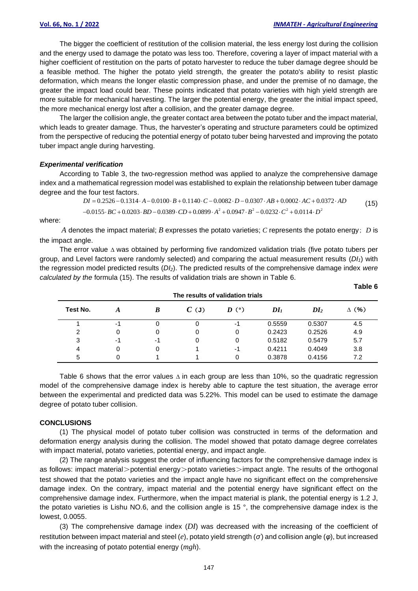**Table 6**

The bigger the coefficient of restitution of the collision material, the less energy lost during the collision and the energy used to damage the potato was less too. Therefore, covering a layer of impact material with a higher coefficient of restitution on the parts of potato harvester to reduce the tuber damage degree should be a feasible method. The higher the potato yield strength, the greater the potato's ability to resist plastic deformation, which means the longer elastic compression phase, and under the premise of no damage, the greater the impact load could bear. These points indicated that potato varieties with high yield strength are more suitable for mechanical harvesting. The larger the potential energy, the greater the initial impact speed, the more mechanical energy lost after a collision, and the greater damage degree.

The larger the collision angle, the greater contact area between the potato tuber and the impact material, which leads to greater damage. Thus, the harvester's operating and structure parameters could be optimized from the perspective of reducing the potential energy of potato tuber being harvested and improving the potato tuber impact angle during harvesting.

#### *Experimental verification*

According to Table 3, the two-regression method was applied to analyze the comprehensive damage index and a mathematical regression model was established to explain the relationship between tuber damage degree and the four test factors.

$$
DI = 0.2526 - 0.1314 \cdot A - 0.0100 \cdot B + 0.1140 \cdot C - 0.0082 \cdot D - 0.0307 \cdot AB + 0.0002 \cdot AC + 0.0372 \cdot AD
$$
  
-0.0155 \cdot BC + 0.0203 \cdot BD - 0.0389 \cdot CD + 0.0899 \cdot A<sup>2</sup> + 0.0947 \cdot B<sup>2</sup> - 0.0232 \cdot C<sup>2</sup> + 0.0114 \cdot D<sup>2</sup> (15)

where:

*A* denotes the impact material; *B* expresses the potato varieties; *C* represents the potato energy; *D* is the impact angle.

The error value *∆* was obtained by performing five randomized validation trials (five potato tubers per group, and Level factors were randomly selected) and comparing the actual measurement results (*DI1*) with the regression model predicted results (*DI2*). The predicted results of the comprehensive damage index *were calculated by the* formula (15). The results of validation trials are shown in Table 6.

| The results of validation trials |    |          |         |           |        |                 |              |
|----------------------------------|----|----------|---------|-----------|--------|-----------------|--------------|
| Test No.                         |    | $\bm{B}$ | $C$ (J) | $D^{(0)}$ | $DI_1$ | DI <sub>2</sub> | $\Delta$ (%) |
|                                  | -1 | 0        | 0       | -1        | 0.5559 | 0.5307          | 4.5          |
| 2                                |    | 0        | 0       | 0         | 0.2423 | 0.2526          | 4.9          |
| 3                                | -1 | -1       | 0       | 0         | 0.5182 | 0.5479          | 5.7          |
| 4                                |    | 0        |         | -1        | 0.4211 | 0.4049          | 3.8          |
| 5                                |    |          |         |           | 0.3878 | 0.4156          | 7.2          |

Table 6 shows that the error values *∆* in each group are less than 10%, so the quadratic regression model of the comprehensive damage index is hereby able to capture the test situation, the average error between the experimental and predicted data was 5.22%. This model can be used to estimate the damage degree of potato tuber collision.

#### **CONCLUSIONS**

(1) The physical model of potato tuber collision was constructed in terms of the deformation and deformation energy analysis during the collision. The model showed that potato damage degree correlates with impact material, potato varieties, potential energy, and impact angle.

(2) The range analysis suggest the order of influencing factors for the comprehensive damage index is as follows: impact material>potential energy>potato varieties>impact angle. The results of the orthogonal test showed that the potato varieties and the impact angle have no significant effect on the comprehensive damage index. On the contrary, impact material and the potential energy have significant effect on the comprehensive damage index. Furthermore, when the impact material is plank, the potential energy is 1.2 J, the potato varieties is Lishu NO.6, and the collision angle is 15 °, the comprehensive damage index is the lowest, 0.0055.

(3) The comprehensive damage index (*DI*) was decreased with the increasing of the coefficient of restitution between impact material and steel (*e*), potato yield strength (*σ'* ) and collision angle (*φ*), but increased with the increasing of potato potential energy (*mgh*).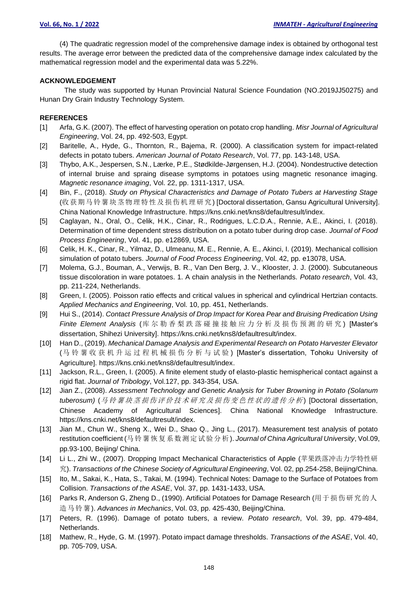(4) The quadratic regression model of the comprehensive damage index is obtained by orthogonal test results. The average error between the predicted data of the comprehensive damage index calculated by the mathematical regression model and the experimental data was 5.22%.

#### **ACKNOWLEDGEMENT**

The study was supported by Hunan Provincial Natural Science Foundation (NO.2019JJ50275) and Hunan Dry Grain Industry Technology System.

#### **REFERENCES**

- [1] Arfa, G.K. (2007). The effect of harvesting operation on potato crop handling. *Misr Journal of Agricultural Engineering*, Vol. 24, pp. 492-503, Egypt.
- [2] Baritelle, A., Hyde, G., Thornton, R., Bajema, R. (2000). A classification system for impact-related defects in potato tubers. *American Journal of Potato Research*, Vol. 77, pp. 143-148, USA.
- [3] Thybo, A.K., Jespersen, S.N., Lærke, P.E., Stødkilde-Jørgensen, H.J. (2004). Nondestructive detection of internal bruise and spraing disease symptoms in potatoes using magnetic resonance imaging. *Magnetic resonance imaging*, Vol. 22, pp. 1311-1317, USA.
- [4] Bin, F., (2018). *Study on Physical Characteristics and Damage of Potato Tubers at Harvesting Stage*  (收获期马铃薯块茎物理特性及损伤机理研究) [Doctoral dissertation, Gansu Agricultural University]. China National Knowledge Infrastructure. https://kns.cnki.net/kns8/defaultresult/index.
- [5] Caglayan, N., Oral, O., Celik, H.K., Cinar, R., Rodrigues, L.C.D.A., Rennie, A.E., Akinci, I. (2018). Determination of time dependent stress distribution on a potato tuber during drop case. *Journal of Food Process Engineering*, Vol. 41, pp. e12869, USA.
- [6] Celik, H. K., Cinar, R., Yilmaz, D., Ulmeanu, M. E., Rennie, A. E., Akinci, I. (2019). Mechanical collision simulation of potato tubers. *Journal of Food Process Engineering*, Vol. 42, pp. e13078, USA.
- [7] Molema, G.J., Bouman, A., Verwijs, B. R., Van Den Berg, J. V., Klooster, J. J. (2000). Subcutaneous tissue discoloration in ware potatoes. 1. A chain analysis in the Netherlands. *Potato research*, Vol. 43, pp. 211-224, Netherlands.
- [8] Green, I. (2005). Poisson ratio effects and critical values in spherical and cylindrical Hertzian contacts. *Applied Mechanics and Engineering*, Vol. 10, pp. 451, Netherlands.
- [9] Hui S., (2014). *Contact Pressure Analysis of Drop Impact for Korea Pear and Bruising Predication Using Finite Element Analysis* (库 尔 勒 香 梨 跌 落 碰 撞 接 触 应 力 分 析 及 损 伤 预 测 的 研 究 ) [Master's dissertation, Shihezi University]. https://kns.cnki.net/kns8/defaultresult/index.
- [10] Han D., (2019). *Mechanical Damage Analysis and Experimental Research on Potato Harvester Elevator*  (马铃薯收获机升运过程机械损伤分析与试验 ) [Master's dissertation, Tohoku University of Agriculture]. https://kns.cnki.net/kns8/defaultresult/index.
- [11] Jackson, R.L., Green, I. (2005). A finite element study of elasto-plastic hemispherical contact against a rigid flat. *Journal of Tribology*, Vol.127, pp. 343-354, USA.
- [12] Jian Z., (2008). *Assessment Technology and Genetic Analysis for Tuber Browning in Potato (Solanum tuberosum)* (马 铃薯 块茎 损伤 评价 技术 研究 及损 伤变 色性 状的 遗传 分析 ) [Doctoral dissertation, Chinese Academy of Agricultural Sciences]. China National Knowledge Infrastructure. https://kns.cnki.net/kns8/defaultresult/index.
- [13] Jian M., Chun W., Sheng X., Wei D., Shao Q., Jing L., (2017). Measurement test analysis of potato restitution coefficient (马铃薯恢复系数测定试验分析). *Journal of China Agricultural University*, Vol.09, pp.93-100, Beijing/ China.
- [14] Li L., Zhi W., (2007). Dropping Impact Mechanical Characteristics of Apple (苹果跌落冲击力学特性研 究). *Transactions of the Chinese Society of Agricultural Engineering*, Vol. 02, pp.254-258, Beijing/China.
- [15] Ito, M., Sakai, K., Hata, S., Takai, M. (1994). Technical Notes: Damage to the Surface of Potatoes from Collision. *Transactions of the ASAE*, Vol. 37, pp. 1431-1433, USA.
- [16] Parks R, Anderson G, Zheng D., (1990). Artificial Potatoes for Damage Research (用于损伤研究的人 造马铃薯). *Advances in Mechanics*, Vol. 03, pp. 425-430, Beijing/China.
- [17] Peters, R. (1996). Damage of potato tubers, a review. *Potato research*, Vol. 39, pp. 479-484, Netherlands.
- [18] Mathew, R., Hyde, G. M. (1997). Potato impact damage thresholds. *Transactions of the ASAE*, Vol. 40, pp. 705-709, USA.